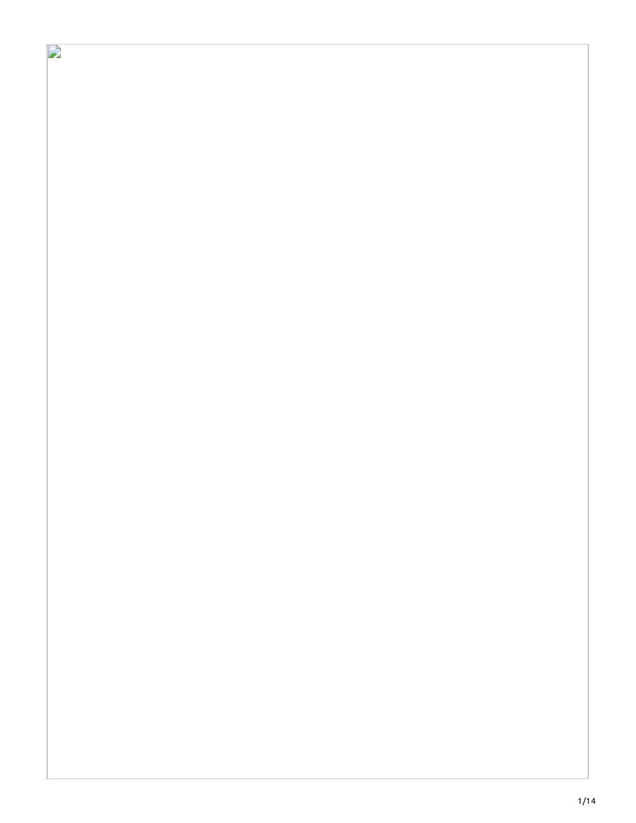

 $\overline{\phantom{a}}$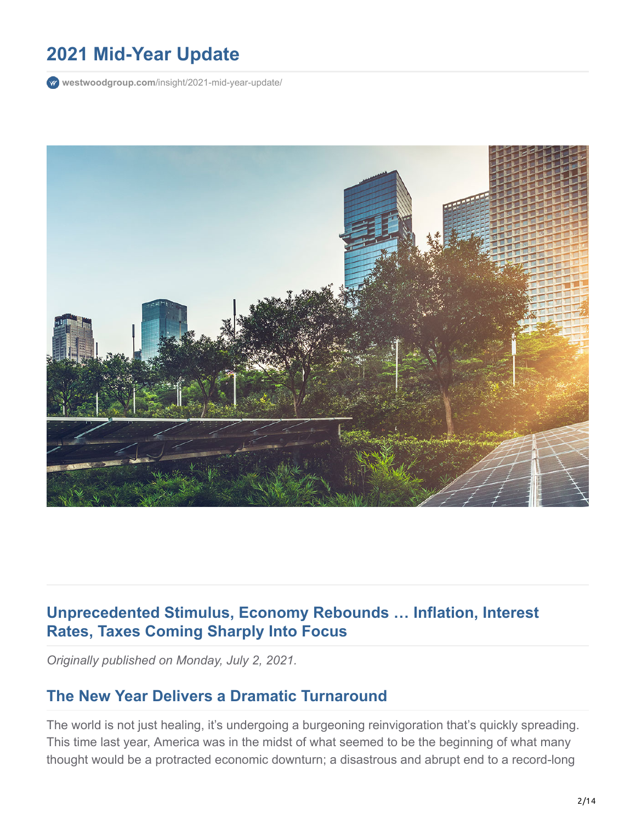# **2021 Mid-Year Update**

**westwoodgroup.com**[/insight/2021-mid-year-update/](https://westwoodgroup.com/insight/2021-mid-year-update/)



## **Unprecedented Stimulus, Economy Rebounds … Inflation, Interest Rates, Taxes Coming Sharply Into Focus**

*Originally published on Monday, July 2, 2021.*

#### **The New Year Delivers a Dramatic Turnaround**

The world is not just healing, it's undergoing a burgeoning reinvigoration that's quickly spreading. This time last year, America was in the midst of what seemed to be the beginning of what many thought would be a protracted economic downturn; a disastrous and abrupt end to a record-long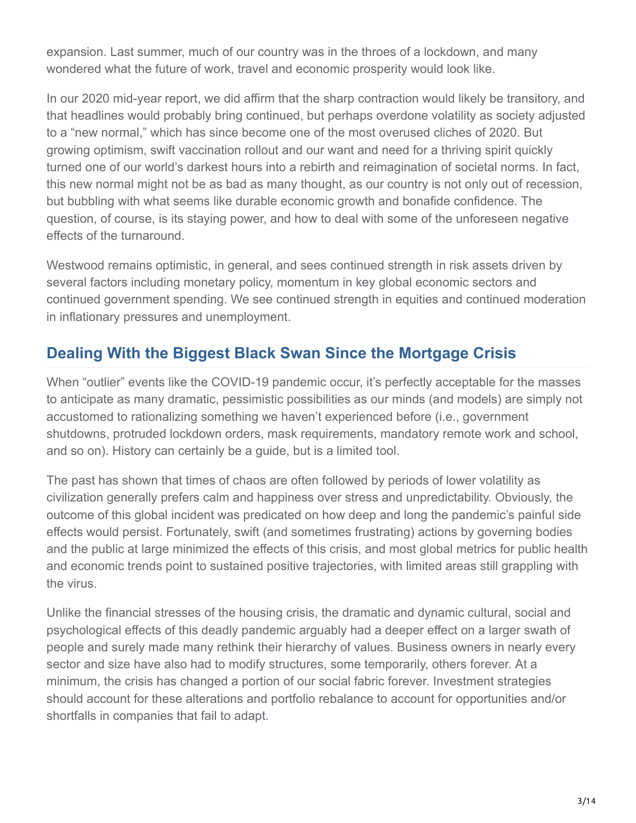expansion. Last summer, much of our country was in the throes of a lockdown, and many wondered what the future of work, travel and economic prosperity would look like.

In our 2020 mid-year report, we did affirm that the sharp contraction would likely be transitory, and that headlines would probably bring continued, but perhaps overdone volatility as society adjusted to a "new normal," which has since become one of the most overused cliches of 2020. But growing optimism, swift vaccination rollout and our want and need for a thriving spirit quickly turned one of our world's darkest hours into a rebirth and reimagination of societal norms. In fact, this new normal might not be as bad as many thought, as our country is not only out of recession, but bubbling with what seems like durable economic growth and bonafide confidence. The question, of course, is its staying power, and how to deal with some of the unforeseen negative effects of the turnaround.

Westwood remains optimistic, in general, and sees continued strength in risk assets driven by several factors including monetary policy, momentum in key global economic sectors and continued government spending. We see continued strength in equities and continued moderation in inflationary pressures and unemployment.

# **Dealing With the Biggest Black Swan Since the Mortgage Crisis**

When "outlier" events like the COVID-19 pandemic occur, it's perfectly acceptable for the masses to anticipate as many dramatic, pessimistic possibilities as our minds (and models) are simply not accustomed to rationalizing something we haven't experienced before (i.e., government shutdowns, protruded lockdown orders, mask requirements, mandatory remote work and school, and so on). History can certainly be a guide, but is a limited tool.

The past has shown that times of chaos are often followed by periods of lower volatility as civilization generally prefers calm and happiness over stress and unpredictability. Obviously, the outcome of this global incident was predicated on how deep and long the pandemic's painful side effects would persist. Fortunately, swift (and sometimes frustrating) actions by governing bodies and the public at large minimized the effects of this crisis, and most global metrics for public health and economic trends point to sustained positive trajectories, with limited areas still grappling with the virus.

Unlike the financial stresses of the housing crisis, the dramatic and dynamic cultural, social and psychological effects of this deadly pandemic arguably had a deeper effect on a larger swath of people and surely made many rethink their hierarchy of values. Business owners in nearly every sector and size have also had to modify structures, some temporarily, others forever. At a minimum, the crisis has changed a portion of our social fabric forever. Investment strategies should account for these alterations and portfolio rebalance to account for opportunities and/or shortfalls in companies that fail to adapt.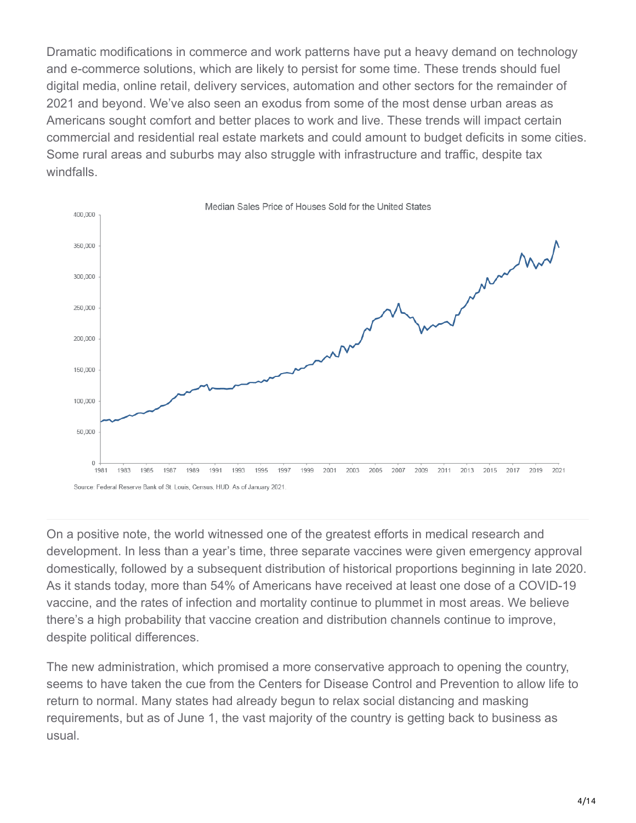Dramatic modifications in commerce and work patterns have put a heavy demand on technology and e-commerce solutions, which are likely to persist for some time. These trends should fuel digital media, online retail, delivery services, automation and other sectors for the remainder of 2021 and beyond. We've also seen an exodus from some of the most dense urban areas as Americans sought comfort and better places to work and live. These trends will impact certain commercial and residential real estate markets and could amount to budget deficits in some cities. Some rural areas and suburbs may also struggle with infrastructure and traffic, despite tax windfalls.



On a positive note, the world witnessed one of the greatest efforts in medical research and development. In less than a year's time, three separate vaccines were given emergency approval domestically, followed by a subsequent distribution of historical proportions beginning in late 2020. As it stands today, more than 54% of Americans have received at least one dose of a COVID-19 vaccine, and the rates of infection and mortality continue to plummet in most areas. We believe there's a high probability that vaccine creation and distribution channels continue to improve, despite political differences.

The new administration, which promised a more conservative approach to opening the country, seems to have taken the cue from the Centers for Disease Control and Prevention to allow life to return to normal. Many states had already begun to relax social distancing and masking requirements, but as of June 1, the vast majority of the country is getting back to business as usual.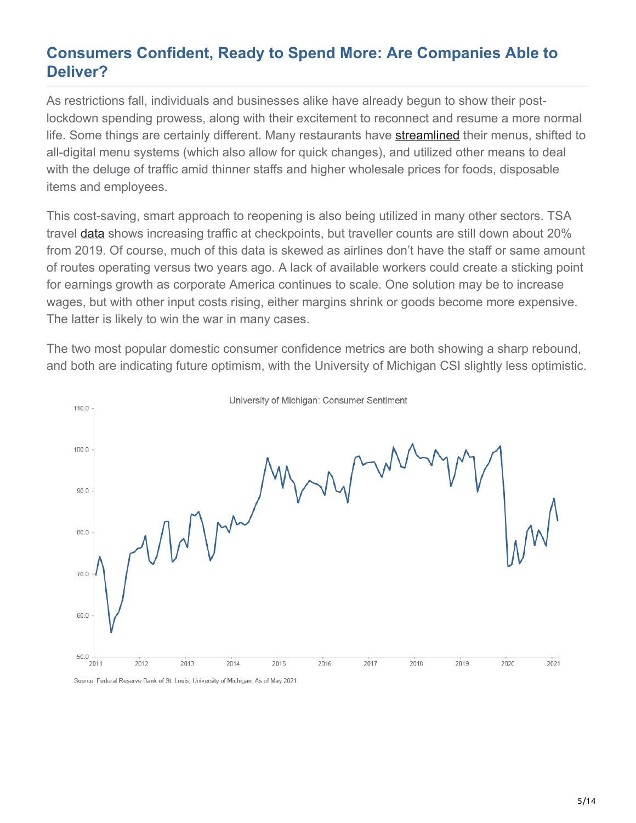# **Consumers Confident, Ready to Spend More: Are Companies Able to Deliver?**

As restrictions fall, individuals and businesses alike have already begun to show their postlockdown spending prowess, along with their excitement to reconnect and resume a more normal life. Some things are certainly different. Many restaurants have [streamlined](https://www.bloomberg.com/news/features/2021-06-18/did-the-pandemic-kill-off-the-restaurant-menu) their menus, shifted to all-digital menu systems (which also allow for quick changes), and utilized other means to deal with the deluge of traffic amid thinner staffs and higher wholesale prices for foods, disposable items and employees.

This cost-saving, smart approach to reopening is also being utilized in many other sectors. TSA travel [data](https://www.tsa.gov/coronavirus/passenger-throughput) shows increasing traffic at checkpoints, but traveller counts are still down about 20% from 2019. Of course, much of this data is skewed as airlines don't have the staff or same amount of routes operating versus two years ago. A lack of available workers could create a sticking point for earnings growth as corporate America continues to scale. One solution may be to increase wages, but with other input costs rising, either margins shrink or goods become more expensive. The latter is likely to win the war in many cases.

The two most popular domestic consumer confidence metrics are both showing a sharp rebound, and both are indicating future optimism, with the University of Michigan CSI slightly less optimistic.



University of Michigan: Consumer Sentiment

Source: Federal Reserve Bank of St. Louis, University of Michigan. As of May 2021.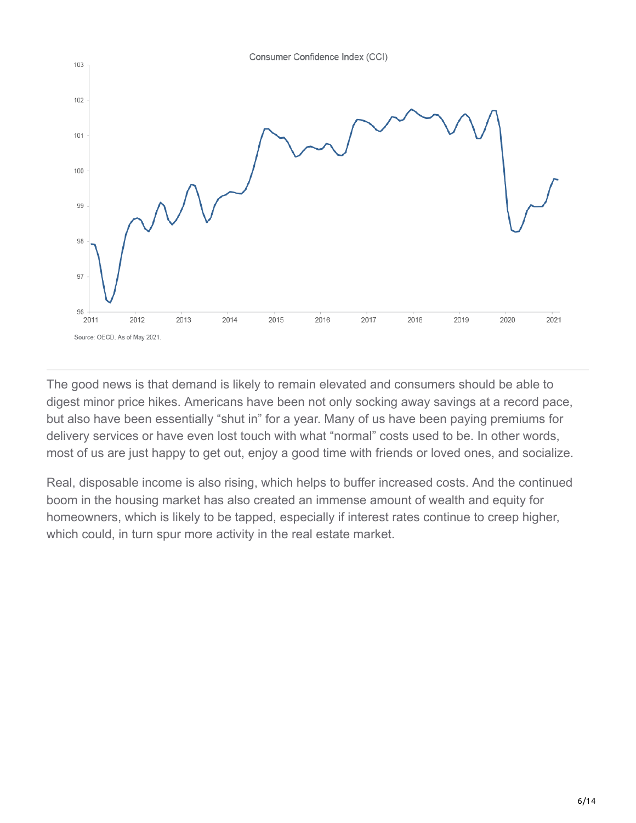

The good news is that demand is likely to remain elevated and consumers should be able to digest minor price hikes. Americans have been not only socking away savings at a record pace, but also have been essentially "shut in" for a year. Many of us have been paying premiums for delivery services or have even lost touch with what "normal" costs used to be. In other words, most of us are just happy to get out, enjoy a good time with friends or loved ones, and socialize.

Real, disposable income is also rising, which helps to buffer increased costs. And the continued boom in the housing market has also created an immense amount of wealth and equity for homeowners, which is likely to be tapped, especially if interest rates continue to creep higher, which could, in turn spur more activity in the real estate market.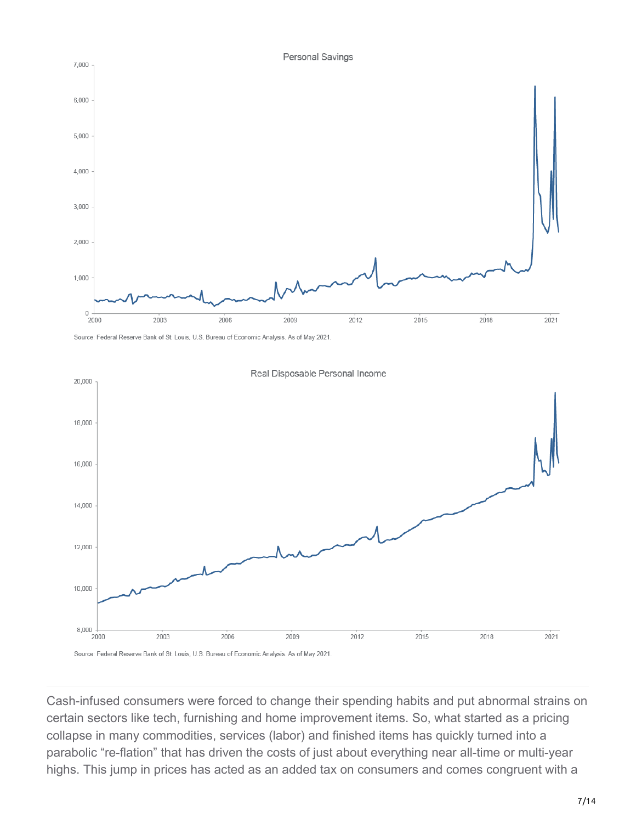

Source: Federal Reserve Bank of St. Louis, U.S. Bureau of Economic Analysis. As of May 2021.



Cash-infused consumers were forced to change their spending habits and put abnormal strains on certain sectors like tech, furnishing and home improvement items. So, what started as a pricing collapse in many commodities, services (labor) and finished items has quickly turned into a parabolic "re-flation" that has driven the costs of just about everything near all-time or multi-year highs. This jump in prices has acted as an added tax on consumers and comes congruent with a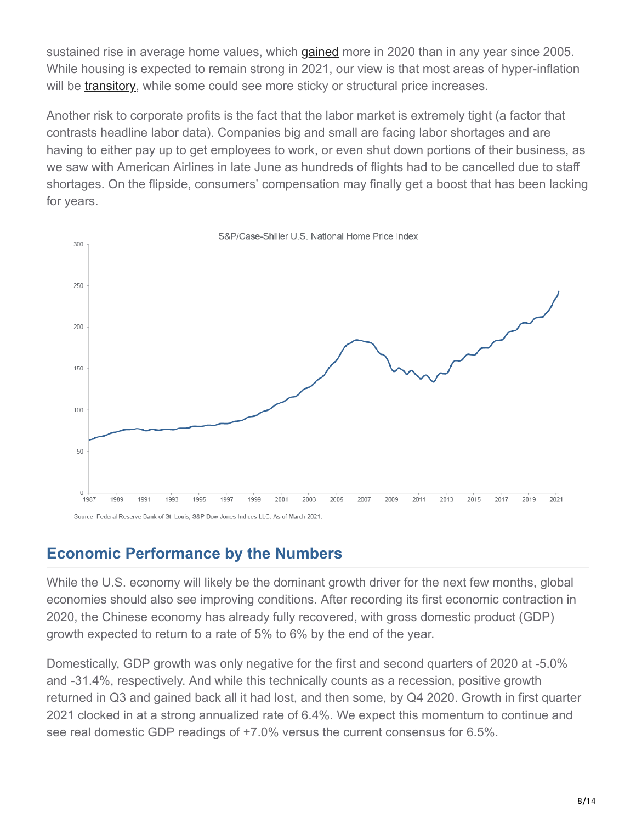sustained rise in average home values, which [gained](https://www.forbes.com/sites/brendarichardson/2021/01/26/housing-market-gains-more-value-in-2020-than-in-any-year-since-2005/?sh=51c4078e4fe0) more in 2020 than in any year since 2005. While housing is expected to remain strong in 2021, our view is that most areas of hyper-inflation will be [transitory](https://youtu.be/nfnQ4Qn90IM), while some could see more sticky or structural price increases.

Another risk to corporate profits is the fact that the labor market is extremely tight (a factor that contrasts headline labor data). Companies big and small are facing labor shortages and are having to either pay up to get employees to work, or even shut down portions of their business, as we saw with American Airlines in late June as hundreds of flights had to be cancelled due to staff shortages. On the flipside, consumers' compensation may finally get a boost that has been lacking for years.



# **Economic Performance by the Numbers**

While the U.S. economy will likely be the dominant growth driver for the next few months, global economies should also see improving conditions. After recording its first economic contraction in 2020, the Chinese economy has already fully recovered, with gross domestic product (GDP) growth expected to return to a rate of 5% to 6% by the end of the year.

Domestically, GDP growth was only negative for the first and second quarters of 2020 at -5.0% and -31.4%, respectively. And while this technically counts as a recession, positive growth returned in Q3 and gained back all it had lost, and then some, by Q4 2020. Growth in first quarter 2021 clocked in at a strong annualized rate of 6.4%. We expect this momentum to continue and see real domestic GDP readings of +7.0% versus the current consensus for 6.5%.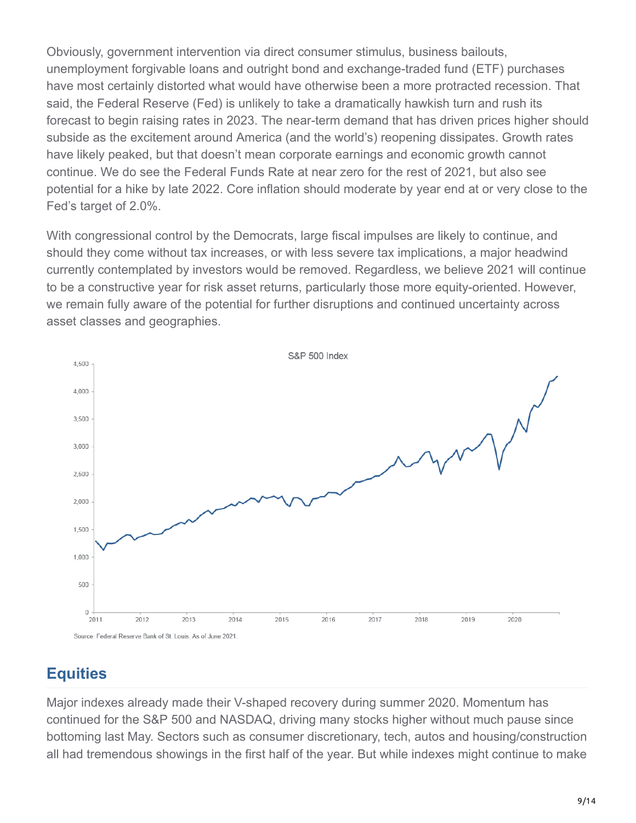Obviously, government intervention via direct consumer stimulus, business bailouts, unemployment forgivable loans and outright bond and exchange-traded fund (ETF) purchases have most certainly distorted what would have otherwise been a more protracted recession. That said, the Federal Reserve (Fed) is unlikely to take a dramatically hawkish turn and rush its forecast to begin raising rates in 2023. The near-term demand that has driven prices higher should subside as the excitement around America (and the world's) reopening dissipates. Growth rates have likely peaked, but that doesn't mean corporate earnings and economic growth cannot continue. We do see the Federal Funds Rate at near zero for the rest of 2021, but also see potential for a hike by late 2022. Core inflation should moderate by year end at or very close to the Fed's target of 2.0%.

With congressional control by the Democrats, large fiscal impulses are likely to continue, and should they come without tax increases, or with less severe tax implications, a major headwind currently contemplated by investors would be removed. Regardless, we believe 2021 will continue to be a constructive year for risk asset returns, particularly those more equity-oriented. However, we remain fully aware of the potential for further disruptions and continued uncertainty across asset classes and geographies.



# **Equities**

Major indexes already made their V-shaped recovery during summer 2020. Momentum has continued for the S&P 500 and NASDAQ, driving many stocks higher without much pause since bottoming last May. Sectors such as consumer discretionary, tech, autos and housing/construction all had tremendous showings in the first half of the year. But while indexes might continue to make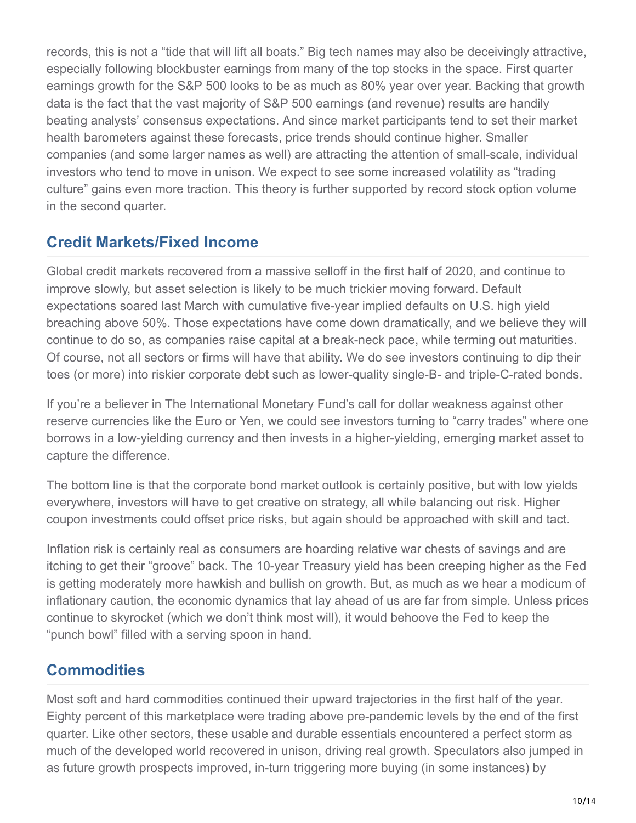records, this is not a "tide that will lift all boats." Big tech names may also be deceivingly attractive, especially following blockbuster earnings from many of the top stocks in the space. First quarter earnings growth for the S&P 500 looks to be as much as 80% year over year. Backing that growth data is the fact that the vast majority of S&P 500 earnings (and revenue) results are handily beating analysts' consensus expectations. And since market participants tend to set their market health barometers against these forecasts, price trends should continue higher. Smaller companies (and some larger names as well) are attracting the attention of small-scale, individual investors who tend to move in unison. We expect to see some increased volatility as "trading culture" gains even more traction. This theory is further supported by record stock option volume in the second quarter.

## **Credit Markets/Fixed Income**

Global credit markets recovered from a massive selloff in the first half of 2020, and continue to improve slowly, but asset selection is likely to be much trickier moving forward. Default expectations soared last March with cumulative five-year implied defaults on U.S. high yield breaching above 50%. Those expectations have come down dramatically, and we believe they will continue to do so, as companies raise capital at a break-neck pace, while terming out maturities. Of course, not all sectors or firms will have that ability. We do see investors continuing to dip their toes (or more) into riskier corporate debt such as lower-quality single-B- and triple-C-rated bonds.

If you're a believer in The International Monetary Fund's call for dollar weakness against other reserve currencies like the Euro or Yen, we could see investors turning to "carry trades" where one borrows in a low-yielding currency and then invests in a higher-yielding, emerging market asset to capture the difference.

The bottom line is that the corporate bond market outlook is certainly positive, but with low yields everywhere, investors will have to get creative on strategy, all while balancing out risk. Higher coupon investments could offset price risks, but again should be approached with skill and tact.

Inflation risk is certainly real as consumers are hoarding relative war chests of savings and are itching to get their "groove" back. The 10-year Treasury yield has been creeping higher as the Fed is getting moderately more hawkish and bullish on growth. But, as much as we hear a modicum of inflationary caution, the economic dynamics that lay ahead of us are far from simple. Unless prices continue to skyrocket (which we don't think most will), it would behoove the Fed to keep the "punch bowl" filled with a serving spoon in hand.

# **Commodities**

Most soft and hard commodities continued their upward trajectories in the first half of the year. Eighty percent of this marketplace were trading above pre-pandemic levels by the end of the first quarter. Like other sectors, these usable and durable essentials encountered a perfect storm as much of the developed world recovered in unison, driving real growth. Speculators also jumped in as future growth prospects improved, in-turn triggering more buying (in some instances) by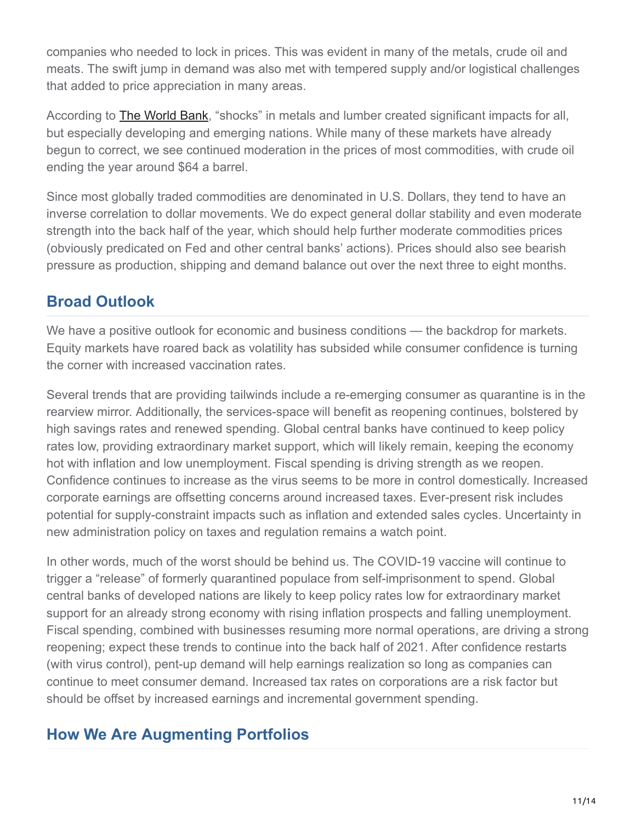companies who needed to lock in prices. This was evident in many of the metals, crude oil and meats. The swift jump in demand was also met with tempered supply and/or logistical challenges that added to price appreciation in many areas.

According to [The World Bank,](https://thedocs.worldbank.org/en/doc/c5de1ea3b3276cf54e7a1dff4e95362b-0350012021/original/CMO-April-2021.pdf) "shocks" in metals and lumber created significant impacts for all, but especially developing and emerging nations. While many of these markets have already begun to correct, we see continued moderation in the prices of most commodities, with crude oil ending the year around \$64 a barrel.

Since most globally traded commodities are denominated in U.S. Dollars, they tend to have an inverse correlation to dollar movements. We do expect general dollar stability and even moderate strength into the back half of the year, which should help further moderate commodities prices (obviously predicated on Fed and other central banks' actions). Prices should also see bearish pressure as production, shipping and demand balance out over the next three to eight months.

## **Broad Outlook**

We have a positive outlook for economic and business conditions — the backdrop for markets. Equity markets have roared back as volatility has subsided while consumer confidence is turning the corner with increased vaccination rates.

Several trends that are providing tailwinds include a re-emerging consumer as quarantine is in the rearview mirror. Additionally, the services-space will benefit as reopening continues, bolstered by high savings rates and renewed spending. Global central banks have continued to keep policy rates low, providing extraordinary market support, which will likely remain, keeping the economy hot with inflation and low unemployment. Fiscal spending is driving strength as we reopen. Confidence continues to increase as the virus seems to be more in control domestically. Increased corporate earnings are offsetting concerns around increased taxes. Ever-present risk includes potential for supply-constraint impacts such as inflation and extended sales cycles. Uncertainty in new administration policy on taxes and regulation remains a watch point.

In other words, much of the worst should be behind us. The COVID-19 vaccine will continue to trigger a "release" of formerly quarantined populace from self-imprisonment to spend. Global central banks of developed nations are likely to keep policy rates low for extraordinary market support for an already strong economy with rising inflation prospects and falling unemployment. Fiscal spending, combined with businesses resuming more normal operations, are driving a strong reopening; expect these trends to continue into the back half of 2021. After confidence restarts (with virus control), pent-up demand will help earnings realization so long as companies can continue to meet consumer demand. Increased tax rates on corporations are a risk factor but should be offset by increased earnings and incremental government spending.

# **How We Are Augmenting Portfolios**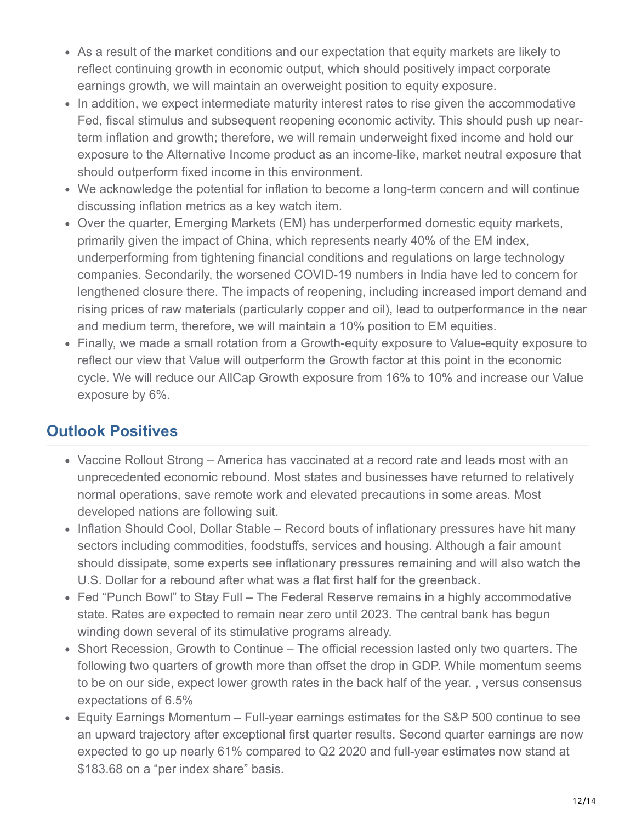- As a result of the market conditions and our expectation that equity markets are likely to reflect continuing growth in economic output, which should positively impact corporate earnings growth, we will maintain an overweight position to equity exposure.
- In addition, we expect intermediate maturity interest rates to rise given the accommodative Fed, fiscal stimulus and subsequent reopening economic activity. This should push up nearterm inflation and growth; therefore, we will remain underweight fixed income and hold our exposure to the Alternative Income product as an income-like, market neutral exposure that should outperform fixed income in this environment.
- We acknowledge the potential for inflation to become a long-term concern and will continue discussing inflation metrics as a key watch item.
- Over the quarter, Emerging Markets (EM) has underperformed domestic equity markets, primarily given the impact of China, which represents nearly 40% of the EM index, underperforming from tightening financial conditions and regulations on large technology companies. Secondarily, the worsened COVID-19 numbers in India have led to concern for lengthened closure there. The impacts of reopening, including increased import demand and rising prices of raw materials (particularly copper and oil), lead to outperformance in the near and medium term, therefore, we will maintain a 10% position to EM equities.
- Finally, we made a small rotation from a Growth-equity exposure to Value-equity exposure to reflect our view that Value will outperform the Growth factor at this point in the economic cycle. We will reduce our AllCap Growth exposure from 16% to 10% and increase our Value exposure by 6%.

# **Outlook Positives**

- Vaccine Rollout Strong America has vaccinated at a record rate and leads most with an unprecedented economic rebound. Most states and businesses have returned to relatively normal operations, save remote work and elevated precautions in some areas. Most developed nations are following suit.
- Inflation Should Cool, Dollar Stable Record bouts of inflationary pressures have hit many sectors including commodities, foodstuffs, services and housing. Although a fair amount should dissipate, some experts see inflationary pressures remaining and will also watch the U.S. Dollar for a rebound after what was a flat first half for the greenback.
- Fed "Punch Bowl" to Stay Full The Federal Reserve remains in a highly accommodative state. Rates are expected to remain near zero until 2023. The central bank has begun winding down several of its stimulative programs already.
- Short Recession, Growth to Continue The official recession lasted only two quarters. The following two quarters of growth more than offset the drop in GDP. While momentum seems to be on our side, expect lower growth rates in the back half of the year. , versus consensus expectations of 6.5%
- Equity Earnings Momentum Full-year earnings estimates for the S&P 500 continue to see an upward trajectory after exceptional first quarter results. Second quarter earnings are now expected to go up nearly 61% compared to Q2 2020 and full-year estimates now stand at \$183.68 on a "per index share" basis.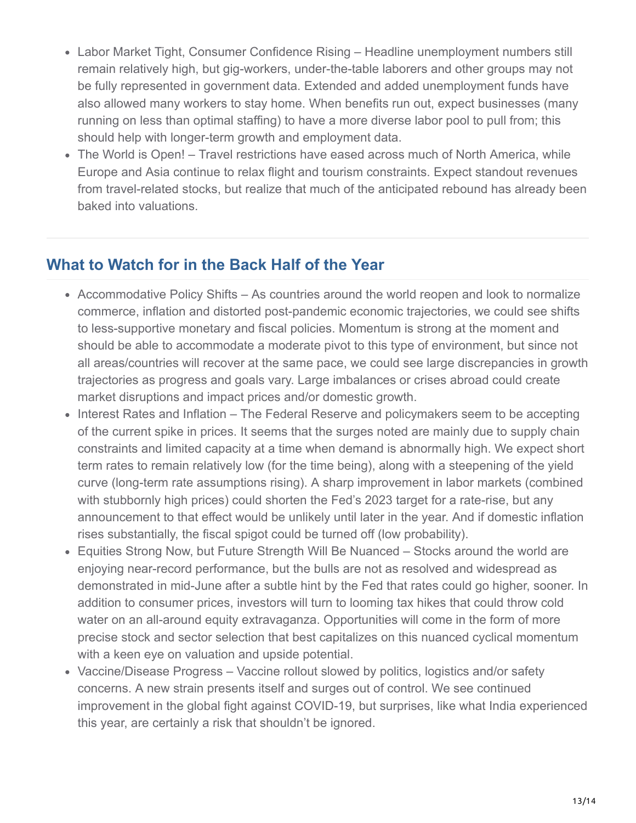- Labor Market Tight, Consumer Confidence Rising Headline unemployment numbers still remain relatively high, but gig-workers, under-the-table laborers and other groups may not be fully represented in government data. Extended and added unemployment funds have also allowed many workers to stay home. When benefits run out, expect businesses (many running on less than optimal staffing) to have a more diverse labor pool to pull from; this should help with longer-term growth and employment data.
- The World is Open! Travel restrictions have eased across much of North America, while Europe and Asia continue to relax flight and tourism constraints. Expect standout revenues from travel-related stocks, but realize that much of the anticipated rebound has already been baked into valuations.

#### **What to Watch for in the Back Half of the Year**

- Accommodative Policy Shifts As countries around the world reopen and look to normalize commerce, inflation and distorted post-pandemic economic trajectories, we could see shifts to less-supportive monetary and fiscal policies. Momentum is strong at the moment and should be able to accommodate a moderate pivot to this type of environment, but since not all areas/countries will recover at the same pace, we could see large discrepancies in growth trajectories as progress and goals vary. Large imbalances or crises abroad could create market disruptions and impact prices and/or domestic growth.
- Interest Rates and Inflation The Federal Reserve and policymakers seem to be accepting of the current spike in prices. It seems that the surges noted are mainly due to supply chain constraints and limited capacity at a time when demand is abnormally high. We expect short term rates to remain relatively low (for the time being), along with a steepening of the yield curve (long-term rate assumptions rising). A sharp improvement in labor markets (combined with stubbornly high prices) could shorten the Fed's 2023 target for a rate-rise, but any announcement to that effect would be unlikely until later in the year. And if domestic inflation rises substantially, the fiscal spigot could be turned off (low probability).
- Equities Strong Now, but Future Strength Will Be Nuanced Stocks around the world are enjoying near-record performance, but the bulls are not as resolved and widespread as demonstrated in mid-June after a subtle hint by the Fed that rates could go higher, sooner. In addition to consumer prices, investors will turn to looming tax hikes that could throw cold water on an all-around equity extravaganza. Opportunities will come in the form of more precise stock and sector selection that best capitalizes on this nuanced cyclical momentum with a keen eye on valuation and upside potential.
- Vaccine/Disease Progress Vaccine rollout slowed by politics, logistics and/or safety concerns. A new strain presents itself and surges out of control. We see continued improvement in the global fight against COVID-19, but surprises, like what India experienced this year, are certainly a risk that shouldn't be ignored.